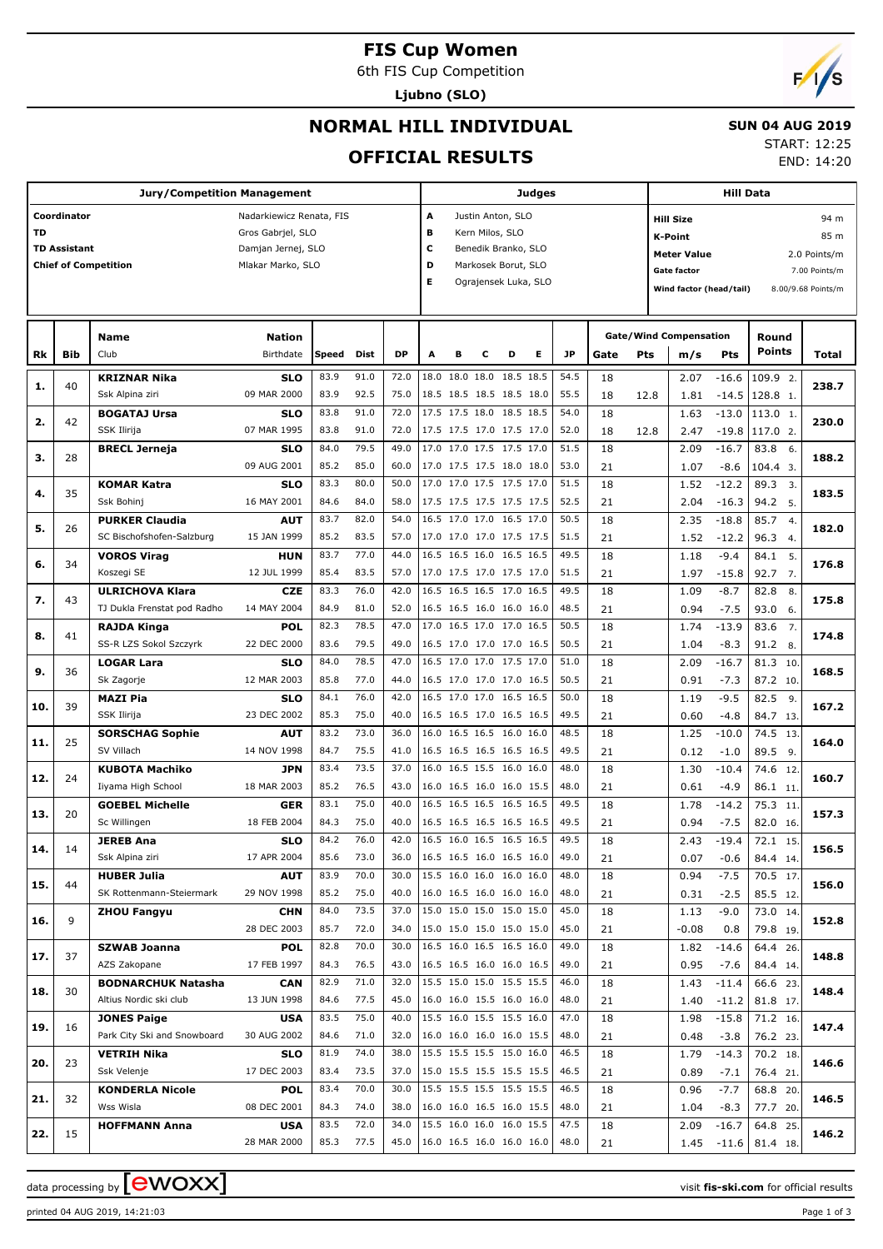### **FIS Cup Women**

6th FIS Cup Competition

**Ljubno (SLO)**

# **NORMAL HILL INDIVIDUAL**

### **SUN 04 AUG 2019**

### **OFFICIAL RESULTS**

START: 12:25 END: 14:20

**Jury/Competition Management Coordinator** Nadarkiewicz Renata, FIS **TD** Gros Gabrjel, SLO **TD Assistant** Damjan Jernej, SLO **Chief of Competition** Mlakar Marko, SLO **Judges A** Justin Anton, SLO **B** Kern Milos, SLO **C** Benedik Branko, SLO **D** Markosek Borut, SLO **E** Ograjensek Luka, SLO **Hill Data K-Point** 85 m **Hill Size** 94 m **Meter Value** 2.0 Points/m Gate factor **6** and 7.00 Points/m **Wind factor (head/tail)** 8.00/9.68 Points/m **Bib Name** Club Birthdate **Nation Rk Speed Dist DP A B C D E JP Total Round m/s Pts Points Gate/Wind Compensation Gate Pts KRIZNAR Nika** Ssk Alpina ziri **SLO** 09 MAR 2000 40 83.9 91.0 72.0 18.0 18.0 18.0 18.5 18.5 54.5 18 83.9 92.5 75.0 18.5 18.5 18.5 18.5 18.0 55.5 18. 12.8 12.8 1.81 -14.5 128.8 1 2. **1. 238.7** -16.6 -14.5 2.07 1.81 18 18 12.8 **BOGATAJ Ursa** SSK Ilirija **SLO** 07 MAR 1995 42 83.8 91.0 72.0 17.5 17.5 18.0 18.5 18.5 54.0 113.0 83.8 91.0 72.0 17.5 17.5 17.0 17.5 17.0 52.0 18 12.8 2.47 -19.8 117.0 2 1. **2. 230.0**  $-13.0$ -19.8 1.63 2.47 18 18 12.8 **BRECL Jerneja SLO** 09 AUG 2001 28 84.0 79.5 49.0 17.0 17.0 17.5 17.5 17.0 51.5 18 85.2 85.0 60.0 17.0 17.5 17.5 18.0 18.0 53.0 21 1.07 -8.6 104.4 3 6. **3. 188.2**  $-16.7$ -8.6 2.09 1.07 18  $21$ **KOMAR Katra** Ssk Bohinj **SLO** 16 MAY 2001 35 83.3 80.0 | 50.0 |17.0 17.0 17.5 17.5 17.0 | 51.5 | 18 | 1.52 -12.2 | 89.3 84.6 84.0 58.0 17.5 17.5 17.5 17.5 17.5 52.5 21 204 -16.3 94.2 5 3. **4. 183.5**  $-12.2$  $-16.3$  1.52 2.04 18  $21$ **PURKER Claudia** SC Bischofshofen-Salzburg **AUT** 15 JAN 1999 26 83.7 82.0 54.0 16.5 17.0 17.0 16.5 17.0 50.5 18 85.2 83.5 57.0 17.0 17.0 17.0 17.5 17.5 51.5 21 1.52 -12.2 96.3 4. 4. **5. 182.0**  $-18.8$ -12.2 2.35 1.52 18  $21$ **VOROS Virag** Koszegi SE **HUN** 12 JUL 1999 34  $83.7$   $77.0$  44.0 16.5 16.5 16.0 16.5 16.5 49.5 18 18 18 41 85.4 83.5 57.0 17.0 17.5 17.0 17.5 17.0 51.5 71 1.97 -15.8 92.7 7 5. **6. 176.8**  $-9.4$ -15.8 1.18 1.97  $\overline{18}$  $21$ **ULRICHOVA Klara** TJ Dukla Frenstat pod Radho **CZE** 14 MAY 2004 43 83.3 76.0 | 42.0 | 16.5 16.5 16.5 17.0 16.5 | 49.5 | 18 | 1.09 -8.7 | 82.8 84.9 81.0 52.0 16.5 16.5 16.0 16.0 16.0 48.5 21 0.94 -7.5 93.0 6. 8. **7. 175.8**  $-8.7$ -7.5 1.09 0.94 18 21 **RAJDA Kinga** SS-R LZS Sokol Szczyrk **POL** 22 DEC 2000 41  $82.3$   $78.5$   $47.0$   $17.0$   $16.5$   $17.0$   $17.0$   $16.5$   $50.5$   $18$   $174$   $174$   $-13.9$   $83.6$ 83.6 79.5 49.0 16.5 17.0 17.0 17.0 16.5 50.5 21 1.04 -8.3 91.2 8. 7. **8. 174.8**  $-13.9$ -8.3 1.74 1.04 18 21 **LOGAR Lara** Sk Zagorje **SLO** 12 MAR 2003 36 84.0 78.5 47.0 16.5 17.0 17.0 17.5 17.0 51.0 18 85.8 77.0 44.0 16.5 17.0 17.0 17.0 16.5 50.5 21 0.91 -7.3 87.2 10  $\overline{10}$ **9. 168.5**  $-16.7$ -7.3  $\overline{2.09}$  0.91  $\overline{18}$  21 **MAZI Pia** SSK Ilirija **SLO** 23 DEC 2002 39  $84.1$   $76.0$   $42.0$   $16.5$   $17.0$   $17.0$   $16.5$   $16.5$   $50.0$   $18$   $1.19$   $-9.5$   $82.5$ 85.3 75.0 40.0 16.5 16.5 17.0 16.5 16.5 49.5 21 0.60 -4.8 84.7 13 9. **10. 167.2** -9.5 -4.8 1.19 0.60 18 21 **SORSCHAG Sophie** SV Villach **AUT** 14 NOV 1998 25 83.2 73.0 | 36.0 |16.0 16.5 16.5 16.0 16.0 | 48.5 | 18 | 1.25 -10.0 | 74.5 84.7 75.5 41.0 16.5 16.5 16.5 16.5 16.5 49.5 21 012 -10 89.5 9 13. **11. 164.0**  $-10.0$  $-1.0$  1.25 0.12  $\overline{18}$  21 **KUBOTA Machiko** Iiyama High School **JPN** 18 MAR 2003 24 83.4 73.5 37.0 16.0 16.5 15.5 16.0 16.0 48.0 18 1.30 -10.4 74.6 85.2 76.5 43.0 16.0 16.5 16.0 16.0 15.5 48.0 21 0.61 -4.9 86.1 11  $\overline{12}$ **12. 160.7**  $-10.4$ -4.9 1.30 0.61  $\overline{18}$  21 **GOEBEL Michelle** Sc Willingen **GER** 18 FEB 2004 20 83.1 75.0 40.0 16.5 16.5 16.5 16.5 16.5 49.5 75.3 84.3 75.0 40.0 16.5 16.5 16.5 16.5 16.5 49.5 21 0.94 -7.5 82.0 16 11. **13. 157.3**  $-14.2$ -7.5 1.78 0.94 18 21 **JEREB Ana** Ssk Alpina ziri **SLO** 17 APR 2004 14 84.2 76.0 42.0 16.5 16.0 16.5 16.5 16.5 49.5 18 85.6 73.0 36.0 16.5 16.5 16.0 16.5 16.0 49.0 21 0.07 -0.6 84.4 14 15. **14. 156.5**  $-19.4$ -0.6  $2.43$  0.07 18  $21$ **HUBER Julia** SK Rottenmann-Steiermark **AUT** 29 NOV 1998 44 83.9 70.0 | 30.0 |15.5 16.0 16.0 16.0 | 48.0 | 18 | 0.94 -7.5 | 70.5 85.2 75.0 40.0 16.0 16.5 16.0 16.0 16.0 48.0 21 0.31 -2.5 85.5 12 17. **15. 156.0**  $-7.5$ -2.5 0.94 0.31 18  $21$ **ZHOU Fangyu CHN** 28 DEC 2003 9 84.0 73.5 37.0 15.0 15.0 15.0 15.0 15.0 45.0 73.0 85.7 72.0 34.0 15.0 15.0 15.0 15.0 15.0 45.0 79.8 19. 14. **16. 152.8**  $-9.0$  0.8 1.13 -0.08 18 21 **SZWAB Joanna** AZS Zakopane **POL** 17 FEB 1997 37 82.8 70.0 | 30.0 |16.5 16.0 16.5 16.5 16.0 | 49.0 | 18 | 1.82 -14.6 | 64.4 84.3 76.5 43.0 16.5 16.5 16.0 16.0 16.5 49.0 71 0.95 -7.6 84.4 14 26. **17. 148.8**  $-14.6$ -7.6 1.82 0.95  $\overline{18}$  $21$ **BODNARCHUK Natasha** Altius Nordic ski club **CAN** 13 JUN 1998 30 82.9 71.0 | 32.0 |15.5 15.0 15.0 15.5 15.5 | 46.0 | 18 | 1.43 -11.4 | 66.6 84.6 77.5 45.0 16.0 16.0 15.5 16.0 16.0 48.0 21 1.40 -11.2 81.8 17  $\overline{23}$ **18. 148.4**  $-11.4$ -11.2 1.43 1.40  $\overline{18}$  $21$ **JONES Paige** Park City Ski and Snowboard **USA** 30 AUG 2002 16 83.5 75.0 | 40.0 |15.5 16.0 15.5 15.5 16.0 | 47.0 | 18 | 1.98 -15.8 | 71.2 84.6 71.0 32.0 16.0 16.0 16.0 16.0 15.5 48.0 21 0.48 -3.8 76.2 23 16. **19. 147.4**  $-15.8$ -3.8 1.98 0.48 18  $21$ **VETRIH Nika** Ssk Velenje **SLO** 17 DEC 2003 23 81.9 74.0 38.0 15.5 15.5 15.5 15.0 16.0 46.5 18 83.4 73.5 37.0 15.0 15.5 15.5 15.5 15.5 46.5 21.089 -7.1 76.4 21 18. **20. 146.6**  $-14.3$  $-7.1$  1.79 0.89  $\overline{18}$  $21$ **KONDERLA Nicole** Wss Wisla **POL** 08 DEC 2001 32 83.4 70.0 30.0 15.5 15.5 15.5 15.5 15.5 | 46.5 | 18 | 0.96 -7.7 | 68.8 84.3 74.0 38.0 16.0 16.0 16.5 16.0 15.5 48.0 21 1.04 -8.3 77.7 20 20. **21. 146.5** -7.7 -8.3 0.96 1.04 18  $21$ **HOFFMANN Anna USA** 28 MAR 2000 15 83.5 72.0 | 34.0 |15.5 16.0 16.0 16.0 15.5 | 47.5 | 18 | 2.09 -16.7 | 64.8 85.3 77.5 45.0 16.0 16.5 16.0 16.0 16.0 48.0 21 1.45 -11.6 81.4 18  $\frac{1}{25}$ **22. 146.2**  $-16.7$ -11.6 2.09 1.45 18 21

 $\alpha$  data processing by **CWOXX**  $\blacksquare$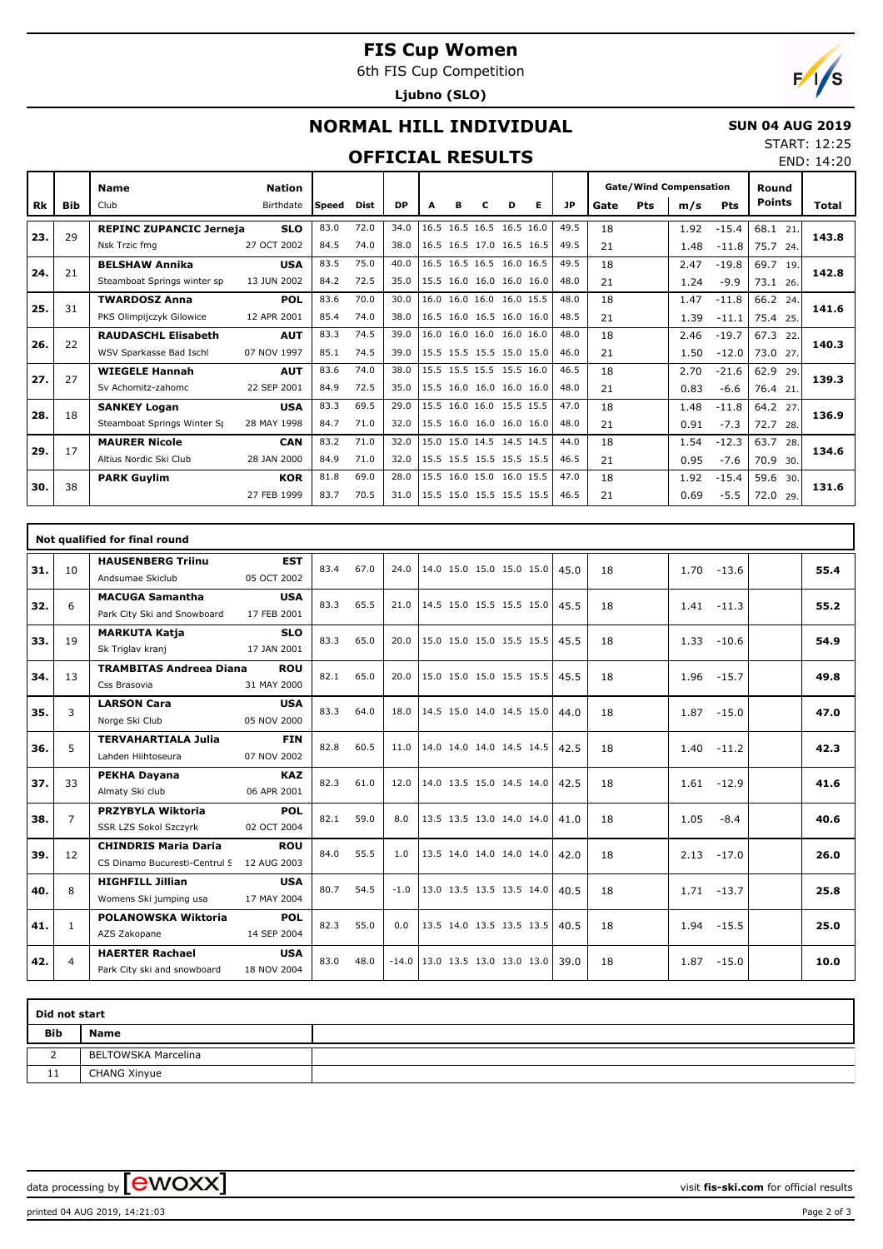# **FIS Cup Women**

6th FIS Cup Competition

**Ljubno (SLO)**



# **NORMAL HILL INDIVIDUAL**

### **SUN 04 AUG 2019** START: 12:25

## **OFFICIAL RESULTS**

| <b>Gate/Wind Compensation</b> | Round |              |
|-------------------------------|-------|--------------|
|                               |       | END: 14:20   |
|                               |       | JIMNI. IZ.ZJ |

Τ

|     |     | <b>Name</b>                    | <b>Nation</b> |        |      |           |      |   |   |                          |   |      | <b>Gate/Wind Compensation</b> |     |      | Round   |               |       |
|-----|-----|--------------------------------|---------------|--------|------|-----------|------|---|---|--------------------------|---|------|-------------------------------|-----|------|---------|---------------|-------|
| Rk  | Bib | Club                           | Birthdate     | lSpeed | Dist | <b>DP</b> | А    | R | с | D                        | Е | JP   | Gate                          | Pts | m/s  | Pts     | <b>Points</b> | Total |
|     | 29  | <b>REPINC ZUPANCIC Jerneja</b> | <b>SLO</b>    | 83.0   | 72.0 | 34.0      | 16.5 |   |   | 16.5 16.5 16.5 16.0      |   | 49.5 | 18                            |     | 1.92 | $-15.4$ | 68.1 21.      | 143.8 |
| 23. |     | Nsk Trzic fma                  | 27 OCT 2002   | 84.5   | 74.0 | 38.0      |      |   |   | 16.5 16.5 17.0 16.5 16.5 |   | 49.5 | 21                            |     | 1.48 | $-11.8$ | 75.7 24.      |       |
| 24. | 21  | <b>BELSHAW Annika</b>          | <b>USA</b>    | 83.5   | 75.0 | 40.0      |      |   |   | 16.5 16.5 16.5 16.0 16.5 |   | 49.5 | 18                            |     | 2.47 | $-19.8$ | 69.7<br>19.   | 142.8 |
|     |     | Steamboat Springs winter sp    | 13 JUN 2002   | 84.2   | 72.5 | 35.0      |      |   |   | 15.5 16.0 16.0 16.0 16.0 |   | 48.0 | 21                            |     | 1.24 | $-9.9$  | 73.1 26.      |       |
| 25. | 31  | <b>TWARDOSZ Anna</b>           | <b>POL</b>    | 83.6   | 70.0 | 30.0      |      |   |   | 16.0 16.0 16.0 16.0 15.5 |   | 48.0 | 18                            |     | 1.47 | $-11.8$ | 66.2<br>24.   | 141.6 |
|     |     | PKS Olimpijczyk Gilowice       | 12 APR 2001   | 85.4   | 74.0 | 38.0      |      |   |   | 16.5 16.0 16.5 16.0 16.0 |   | 48.5 | 21                            |     | 1.39 | $-11.1$ | 75.4 25.      |       |
| 26. | 22  | <b>RAUDASCHL Elisabeth</b>     | <b>AUT</b>    | 83.3   | 74.5 | 39.0      |      |   |   | 16.0 16.0 16.0 16.0 16.0 |   | 48.0 | 18                            |     | 2.46 | $-19.7$ | 67.3<br>22.   | 140.3 |
|     |     | WSV Sparkasse Bad Ischl        | 07 NOV 1997   | 85.1   | 74.5 | 39.0      |      |   |   | 15.5 15.5 15.5 15.0 15.0 |   | 46.0 | 21                            |     | 1.50 | $-12.0$ | 73.0 27.      |       |
| 27. | 27  | <b>WIEGELE Hannah</b>          | <b>AUT</b>    | 83.6   | 74.0 | 38.0      |      |   |   | 15.5 15.5 15.5 15.5 16.0 |   | 46.5 | 18                            |     | 2.70 | $-21.6$ | 62.9<br>29.   | 139.3 |
|     |     | Sv Achomitz-zahomc             | 22 SEP 2001   | 84.9   | 72.5 | 35.0      |      |   |   | 15.5 16.0 16.0 16.0 16.0 |   | 48.0 | 21                            |     | 0.83 | $-6.6$  | 76.4 21.      |       |
| 28. | 18  | <b>SANKEY Logan</b>            | <b>USA</b>    | 83.3   | 69.5 | 29.0      |      |   |   | 15.5 16.0 16.0 15.5 15.5 |   | 47.0 | 18                            |     | 1.48 | $-11.8$ | 64.2<br>27.   | 136.9 |
|     |     | Steamboat Springs Winter St    | 28 MAY 1998   | 84.7   | 71.0 | 32.0      |      |   |   | 15.5 16.0 16.0 16.0 16.0 |   | 48.0 | 21                            |     | 0.91 | $-7.3$  | 72.7<br>28.   |       |
| 29. | 17  | <b>MAURER Nicole</b>           | <b>CAN</b>    | 83.2   | 71.0 | 32.0      |      |   |   | 15.0 15.0 14.5 14.5 14.5 |   | 44.0 | 18                            |     | 1.54 | $-12.3$ | 63.7<br>28.   | 134.6 |
|     |     | Altius Nordic Ski Club         | 28 JAN 2000   | 84.9   | 71.0 | 32.0      |      |   |   | 15.5 15.5 15.5 15.5 15.5 |   | 46.5 | 21                            |     | 0.95 | $-7.6$  | 70.9<br>30.   |       |
| 30. | 38  | <b>PARK Guylim</b>             | <b>KOR</b>    | 81.8   | 69.0 | 28.0      |      |   |   | 15.5 16.0 15.0 16.0 15.5 |   | 47.0 | 18                            |     | 1.92 | $-15.4$ | 59.6 30.      | 131.6 |
|     |     |                                | 27 FEB 1999   | 83.7   | 70.5 | 31.0      |      |   |   | 15.5 15.0 15.5 15.5 15.5 |   | 46.5 | 21                            |     | 0.69 | $-5.5$  | 72.0<br>29.   |       |

|     |                | Not qualified for final round                                |                           |      |      |         |                          |  |      |    |                 |      |
|-----|----------------|--------------------------------------------------------------|---------------------------|------|------|---------|--------------------------|--|------|----|-----------------|------|
| 31. | 10             | <b>HAUSENBERG Triinu</b><br>Andsumae Skiclub                 | <b>EST</b><br>05 OCT 2002 | 83.4 | 67.0 | 24.0    | 14.0 15.0 15.0 15.0 15.0 |  | 45.0 | 18 | 1.70<br>$-13.6$ | 55.4 |
| 32. | 6              | <b>MACUGA Samantha</b><br>Park City Ski and Snowboard        | <b>USA</b><br>17 FEB 2001 | 83.3 | 65.5 | 21.0    | 14.5 15.0 15.5 15.5 15.0 |  | 45.5 | 18 | $-11.3$<br>1.41 | 55.2 |
| 33. | 19             | <b>MARKUTA Katja</b><br>Sk Triglav kranj                     | <b>SLO</b><br>17 JAN 2001 | 83.3 | 65.0 | 20.0    | 15.0 15.0 15.0 15.5 15.5 |  | 45.5 | 18 | 1.33<br>$-10.6$ | 54.9 |
| 34. | 13             | <b>TRAMBITAS Andreea Diana</b><br>Css Brasovia               | <b>ROU</b><br>31 MAY 2000 | 82.1 | 65.0 | 20.0    | 15.0 15.0 15.0 15.5 15.5 |  | 45.5 | 18 | 1.96<br>$-15.7$ | 49.8 |
| 35. | 3              | <b>LARSON Cara</b><br>Norge Ski Club                         | <b>USA</b><br>05 NOV 2000 | 83.3 | 64.0 | 18.0    | 14.5 15.0 14.0 14.5 15.0 |  | 44.0 | 18 | 1.87<br>$-15.0$ | 47.0 |
| 36. | 5              | <b>TERVAHARTIALA Julia</b><br>Lahden Hiihtoseura             | <b>FIN</b><br>07 NOV 2002 | 82.8 | 60.5 | 11.0    | 14.0 14.0 14.0 14.5 14.5 |  | 42.5 | 18 | 1.40<br>$-11.2$ | 42.3 |
| 37. | 33             | <b>PEKHA Dayana</b><br>Almaty Ski club                       | <b>KAZ</b><br>06 APR 2001 | 82.3 | 61.0 | 12.0    | 14.0 13.5 15.0 14.5 14.0 |  | 42.5 | 18 | 1.61<br>$-12.9$ | 41.6 |
| 38. | $\overline{7}$ | <b>PRZYBYLA Wiktoria</b><br><b>SSR LZS Sokol Szczyrk</b>     | <b>POL</b><br>02 OCT 2004 | 82.1 | 59.0 | 8.0     | 13.5 13.5 13.0 14.0 14.0 |  | 41.0 | 18 | 1.05<br>$-8.4$  | 40.6 |
| 39. | 12             | <b>CHINDRIS Maria Daria</b><br>CS Dinamo Bucuresti-Centrul S | <b>ROU</b><br>12 AUG 2003 | 84.0 | 55.5 | 1.0     | 13.5 14.0 14.0 14.0 14.0 |  | 42.0 | 18 | 2.13<br>$-17.0$ | 26.0 |
| 40. | 8              | <b>HIGHFILL Jillian</b><br>Womens Ski jumping usa            | <b>USA</b><br>17 MAY 2004 | 80.7 | 54.5 | $-1.0$  | 13.0 13.5 13.5 13.5 14.0 |  | 40.5 | 18 | $-13.7$<br>1.71 | 25.8 |
| 41. | $\mathbf{1}$   | POLANOWSKA Wiktoria<br>AZS Zakopane                          | <b>POL</b><br>14 SEP 2004 | 82.3 | 55.0 | 0.0     | 13.5 14.0 13.5 13.5 13.5 |  | 40.5 | 18 | 1.94<br>$-15.5$ | 25.0 |
| 42. | $\overline{4}$ | <b>HAERTER Rachael</b><br>Park City ski and snowboard        | <b>USA</b><br>18 NOV 2004 | 83.0 | 48.0 | $-14.0$ | 13.0 13.5 13.0 13.0 13.0 |  | 39.0 | 18 | $-15.0$<br>1.87 | 10.0 |

| Did not start |                     |  |
|---------------|---------------------|--|
| <b>Bib</b>    | <b>Name</b>         |  |
|               | BELTOWSKA Marcelina |  |
| 11            | <b>CHANG Xinyue</b> |  |

data processing by **CWOXX**  $\blacksquare$